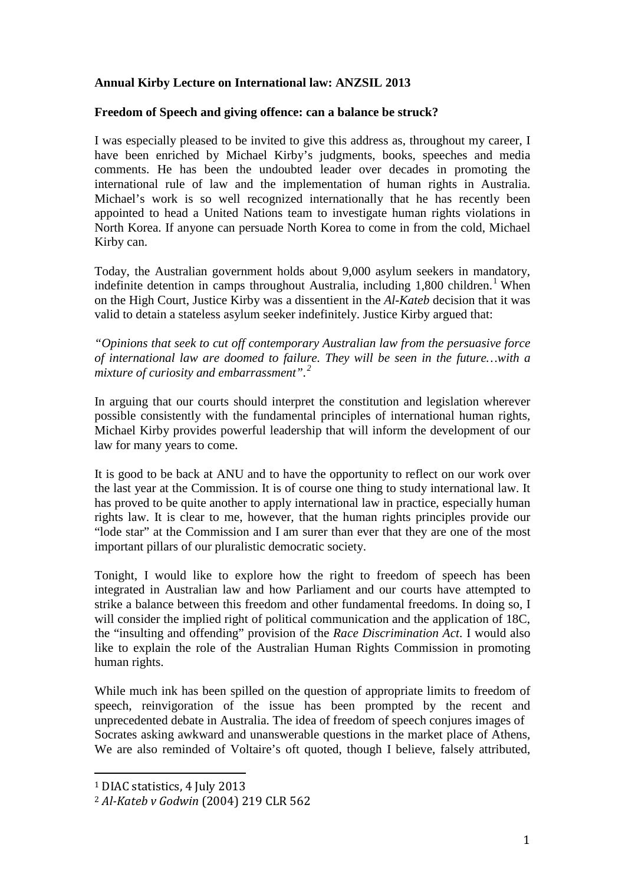#### **Annual Kirby Lecture on International law: ANZSIL 2013**

#### **Freedom of Speech and giving offence: can a balance be struck?**

I was especially pleased to be invited to give this address as, throughout my career, I have been enriched by Michael Kirby's judgments, books, speeches and media comments. He has been the undoubted leader over decades in promoting the international rule of law and the implementation of human rights in Australia. Michael's work is so well recognized internationally that he has recently been appointed to head a United Nations team to investigate human rights violations in North Korea. If anyone can persuade North Korea to come in from the cold, Michael Kirby can.

Today, the Australian government holds about 9,000 asylum seekers in mandatory, indefinite detention in camps throughout Australia, including  $1,800$  $1,800$  children.<sup>1</sup> When on the High Court, Justice Kirby was a dissentient in the *Al-Kateb* decision that it was valid to detain a stateless asylum seeker indefinitely. Justice Kirby argued that:

*"Opinions that seek to cut off contemporary Australian law from the persuasive force of international law are doomed to failure. They will be seen in the future…with a mixture of curiosity and embarrassment".[2](#page-0-1)*

In arguing that our courts should interpret the constitution and legislation wherever possible consistently with the fundamental principles of international human rights, Michael Kirby provides powerful leadership that will inform the development of our law for many years to come.

It is good to be back at ANU and to have the opportunity to reflect on our work over the last year at the Commission. It is of course one thing to study international law. It has proved to be quite another to apply international law in practice, especially human rights law. It is clear to me, however, that the human rights principles provide our "lode star" at the Commission and I am surer than ever that they are one of the most important pillars of our pluralistic democratic society.

Tonight, I would like to explore how the right to freedom of speech has been integrated in Australian law and how Parliament and our courts have attempted to strike a balance between this freedom and other fundamental freedoms. In doing so, I will consider the implied right of political communication and the application of 18C, the "insulting and offending" provision of the *Race Discrimination Act*. I would also like to explain the role of the Australian Human Rights Commission in promoting human rights.

While much ink has been spilled on the question of appropriate limits to freedom of speech, reinvigoration of the issue has been prompted by the recent and unprecedented debate in Australia. The idea of freedom of speech conjures images of Socrates asking awkward and unanswerable questions in the market place of Athens, We are also reminded of Voltaire's oft quoted, though I believe, falsely attributed,

<span id="page-0-0"></span> <sup>1</sup> DIAC statistics, 4 July 2013

<span id="page-0-1"></span><sup>2</sup> *Al-Kateb v Godwin* (2004) 219 CLR 562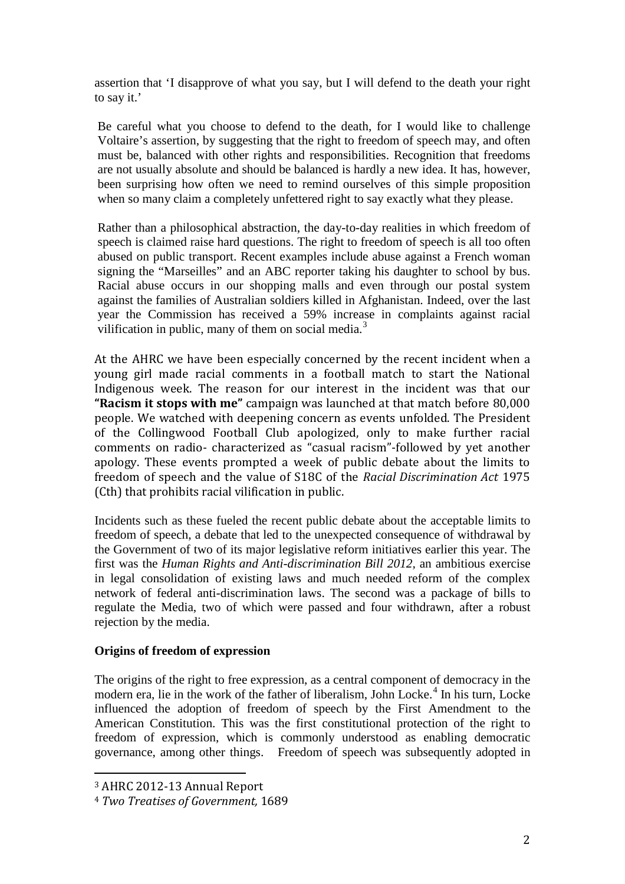assertion that 'I disapprove of what you say, but I will defend to the death your right to say it.'

Be careful what you choose to defend to the death, for I would like to challenge Voltaire's assertion, by suggesting that the right to freedom of speech may, and often must be, balanced with other rights and responsibilities. Recognition that freedoms are not usually absolute and should be balanced is hardly a new idea. It has, however, been surprising how often we need to remind ourselves of this simple proposition when so many claim a completely unfettered right to say exactly what they please.

Rather than a philosophical abstraction, the day-to-day realities in which freedom of speech is claimed raise hard questions. The right to freedom of speech is all too often abused on public transport. Recent examples include abuse against a French woman signing the "Marseilles" and an ABC reporter taking his daughter to school by bus. Racial abuse occurs in our shopping malls and even through our postal system against the families of Australian soldiers killed in Afghanistan. Indeed, over the last year the Commission has received a 59% increase in complaints against racial vilification in public, many of them on social media.<sup>[3](#page-1-0)</sup>

At the AHRC we have been especially concerned by the recent incident when a young girl made racial comments in a football match to start the National Indigenous week. The reason for our interest in the incident was that our **"Racism it stops with me"** campaign was launched at that match before 80,000 people. We watched with deepening concern as events unfolded. The President of the Collingwood Football Club apologized, only to make further racial comments on radio- characterized as "casual racism"-followed by yet another apology. These events prompted a week of public debate about the limits to freedom of speech and the value of S18C of the *Racial Discrimination Act* 1975 (Cth) that prohibits racial vilification in public.

Incidents such as these fueled the recent public debate about the acceptable limits to freedom of speech, a debate that led to the unexpected consequence of withdrawal by the Government of two of its major legislative reform initiatives earlier this year. The first was the *Human Rights and Anti-discrimination Bill 2012,* an ambitious exercise in legal consolidation of existing laws and much needed reform of the complex network of federal anti-discrimination laws. The second was a package of bills to regulate the Media, two of which were passed and four withdrawn, after a robust rejection by the media.

#### **Origins of freedom of expression**

The origins of the right to free expression, as a central component of democracy in the modern era, lie in the work of the father of liberalism, John Locke. [4](#page-1-1) In his turn, Locke influenced the adoption of freedom of speech by the First Amendment to the American Constitution. This was the first constitutional protection of the right to freedom of expression, which is commonly understood as enabling democratic governance, among other things. Freedom of speech was subsequently adopted in

<span id="page-1-0"></span> <sup>3</sup> AHRC 2012-13 Annual Report

<span id="page-1-1"></span><sup>4</sup> *Two Treatises of Government,* 1689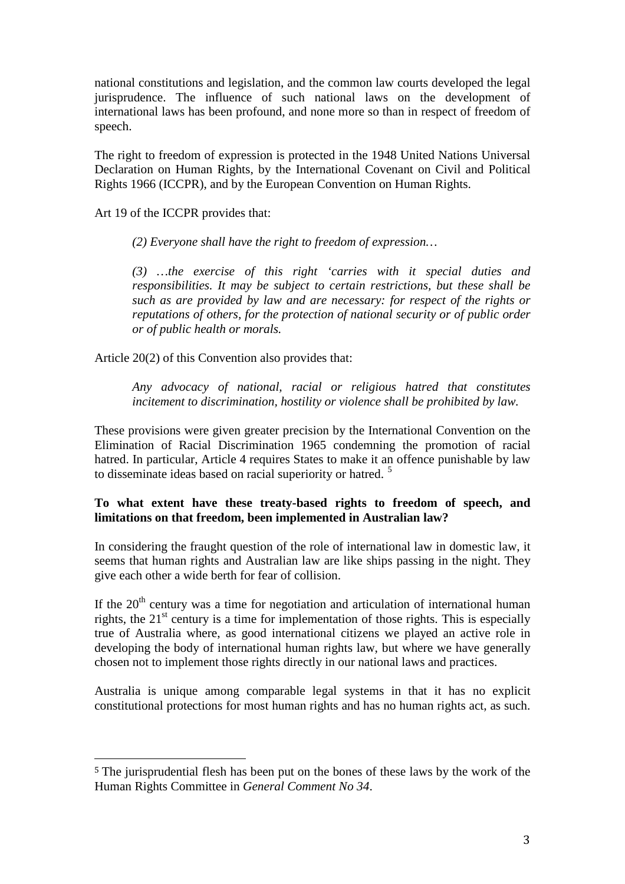national constitutions and legislation, and the common law courts developed the legal jurisprudence. The influence of such national laws on the development of international laws has been profound, and none more so than in respect of freedom of speech.

The right to freedom of expression is protected in the 1948 United Nations Universal Declaration on Human Rights, by the International Covenant on Civil and Political Rights 1966 (ICCPR), and by the European Convention on Human Rights.

Art 19 of the ICCPR provides that:

*(2) Everyone shall have the right to freedom of expression…*

*(3) …the exercise of this right 'carries with it special duties and responsibilities. It may be subject to certain restrictions, but these shall be such as are provided by law and are necessary: for respect of the rights or reputations of others, for the protection of national security or of public order or of public health or morals.*

Article 20(2) of this Convention also provides that:

*Any advocacy of national, racial or religious hatred that constitutes incitement to discrimination, hostility or violence shall be prohibited by law.*

These provisions were given greater precision by the International Convention on the Elimination of Racial Discrimination 1965 condemning the promotion of racial hatred. In particular, Article 4 requires States to make it an offence punishable by law to disseminate ideas based on racial superiority or hatred.<sup>[5](#page-2-0)</sup>

# **To what extent have these treaty-based rights to freedom of speech, and limitations on that freedom, been implemented in Australian law?**

In considering the fraught question of the role of international law in domestic law, it seems that human rights and Australian law are like ships passing in the night. They give each other a wide berth for fear of collision.

If the  $20<sup>th</sup>$  century was a time for negotiation and articulation of international human rights, the  $21<sup>st</sup>$  century is a time for implementation of those rights. This is especially true of Australia where, as good international citizens we played an active role in developing the body of international human rights law, but where we have generally chosen not to implement those rights directly in our national laws and practices.

Australia is unique among comparable legal systems in that it has no explicit constitutional protections for most human rights and has no human rights act, as such.

<span id="page-2-0"></span> <sup>5</sup> The jurisprudential flesh has been put on the bones of these laws by the work of the Human Rights Committee in *General Comment No 34*.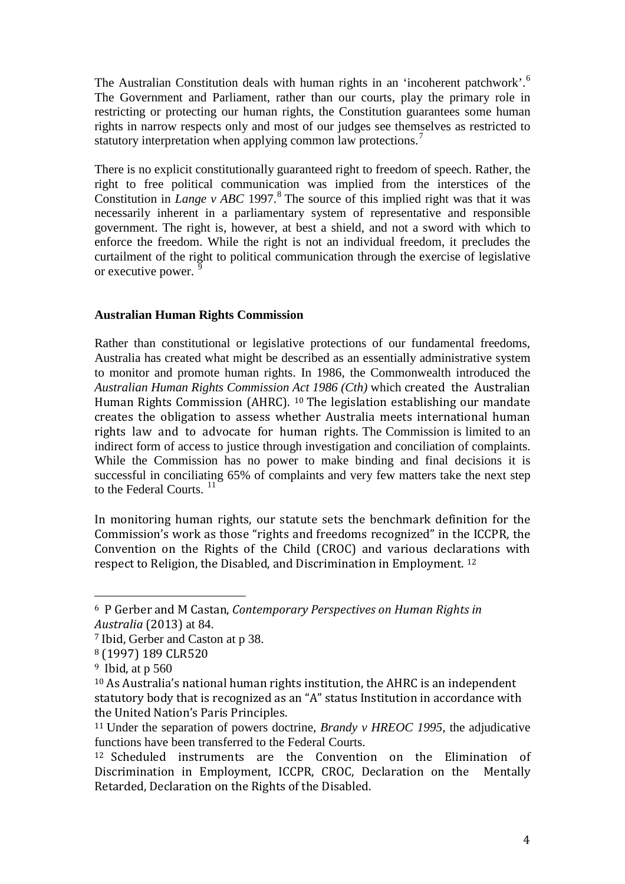The Australian Constitution deals with human rights in an 'incoherent patchwork'.[6](#page-3-0) The Government and Parliament, rather than our courts, play the primary role in restricting or protecting our human rights, the Constitution guarantees some human rights in narrow respects only and most of our judges see themselves as restricted to statutory interpretation when applying common law protections.<sup>[7](#page-3-1)</sup>

There is no explicit constitutionally guaranteed right to freedom of speech. Rather, the right to free political communication was implied from the interstices of the Constitution in *Lange v ABC* 1997. [8](#page-3-2) The source of this implied right was that it was necessarily inherent in a parliamentary system of representative and responsible government. The right is, however, at best a shield, and not a sword with which to enforce the freedom. While the right is not an individual freedom, it precludes the curtailment of the right to political communication through the exercise of legislative or executive power.

# **Australian Human Rights Commission**

Rather than constitutional or legislative protections of our fundamental freedoms, Australia has created what might be described as an essentially administrative system to monitor and promote human rights. In 1986, the Commonwealth introduced the *Australian Human Rights Commission Act 1986 (Cth)* which created the Australian Human Rights Commission (AHRC). [10](#page-3-4) The legislation establishing our mandate creates the obligation to assess whether Australia meets international human rights law and to advocate for human rights. The Commission is limited to an indirect form of access to justice through investigation and conciliation of complaints. While the Commission has no power to make binding and final decisions it is successful in conciliating 65% of complaints and very few matters take the next step to the Federal Courts.<sup>[11](#page-3-5)</sup>

In monitoring human rights, our statute sets the benchmark definition for the Commission's work as those "rights and freedoms recognized" in the ICCPR, the Convention on the Rights of the Child (CROC) and various declarations with respect to Religion, the Disabled, and Discrimination in Employment. [12](#page-3-6)

<span id="page-3-0"></span> <sup>6</sup> P Gerber and M Castan, *Contemporary Perspectives on Human Rights in Australia* (2013) at 84.

<span id="page-3-1"></span><sup>7</sup> Ibid, Gerber and Caston at p 38.

<span id="page-3-2"></span><sup>8</sup> (1997) 189 CLR520

<span id="page-3-3"></span><sup>9</sup> Ibid, at p 560

<span id="page-3-4"></span><sup>10</sup> As Australia's national human rights institution, the AHRC is an independent statutory body that is recognized as an "A" status Institution in accordance with the United Nation's Paris Principles.

<span id="page-3-5"></span><sup>11</sup> Under the separation of powers doctrine, *Brandy v HREOC 1995*, the adjudicative functions have been transferred to the Federal Courts.

<span id="page-3-6"></span><sup>12</sup> Scheduled instruments are the Convention on the Elimination of Discrimination in Employment, ICCPR, CROC, Declaration on the Mentally Retarded, Declaration on the Rights of the Disabled.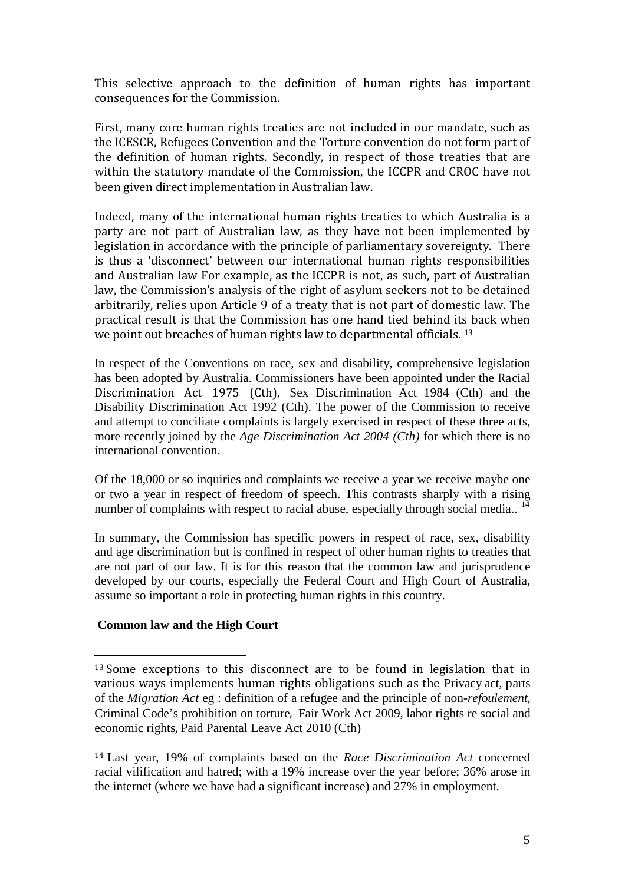This selective approach to the definition of human rights has important consequences for the Commission.

First, many core human rights treaties are not included in our mandate, such as the ICESCR, Refugees Convention and the Torture convention do not form part of the definition of human rights. Secondly, in respect of those treaties that are within the statutory mandate of the Commission, the ICCPR and CROC have not been given direct implementation in Australian law.

Indeed, many of the international human rights treaties to which Australia is a party are not part of Australian law, as they have not been implemented by legislation in accordance with the principle of parliamentary sovereignty. There is thus a 'disconnect' between our international human rights responsibilities and Australian law For example, as the ICCPR is not, as such, part of Australian law, the Commission's analysis of the right of asylum seekers not to be detained arbitrarily, relies upon Article 9 of a treaty that is not part of domestic law. The practical result is that the Commission has one hand tied behind it[s b](#page-4-0)ack when we point out breaches of human rights law to departmental officials. <sup>13</sup>

In respect of the Conventions on race, sex and disability, comprehensive legislation has been adopted by Australia. Commissioners have been appointed under the Racial Discrimination Act 1975 (Cth), Sex Discrimination Act 1984 (Cth) and the Disability Discrimination Act 1992 (Cth). The power of the Commission to receive and attempt to conciliate complaints is largely exercised in respect of these three acts, more recently joined by the *Age Discrimination Act 2004 (Cth)* for which there is no international convention.

Of the 18,000 or so inquiries and complaints we receive a year we receive maybe one or two a year in respect of freedom of speech. This contrasts sharply with a rising number of complaints with respect to racial abuse, especially through social media..<sup>1</sup>

In summary, the Commission has specific powers in respect of race, sex, disability and age discrimination but is confined in respect of other human rights to treaties that are not part of our law. It is for this reason that the common law and jurisprudence developed by our courts, especially the Federal Court and High Court of Australia, assume so important a role in protecting human rights in this country.

# **Common law and the High Court**

<span id="page-4-0"></span><sup>&</sup>lt;sup>13</sup> Some exceptions to this disconnect are to be found in legislation that in various ways implements human rights obligations such as the Privacy act, parts of the *Migration Act* eg : definition of a refugee and the principle of non-*refoulement*, Criminal Code's prohibition on torture, Fair Work Act 2009, labor rights re social and economic rights, Paid Parental Leave Act 2010 (Cth)

<span id="page-4-1"></span><sup>14</sup> Last year, 19% of complaints based on the *Race Discrimination Act* concerned racial vilification and hatred; with a 19% increase over the year before; 36% arose in the internet (where we have had a significant increase) and 27% in employment.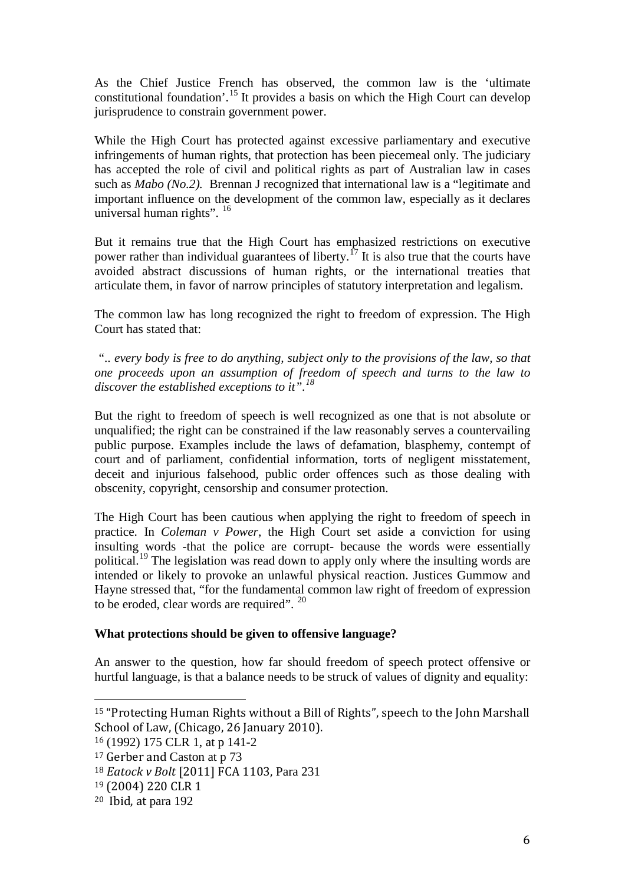As the Chief Justice French has observed, the common law is the 'ultimate constitutional foundation'.[15](#page-5-0) It provides a basis on which the High Court can develop jurisprudence to constrain government power.

While the High Court has protected against excessive parliamentary and executive infringements of human rights, that protection has been piecemeal only. The judiciary has accepted the role of civil and political rights as part of Australian law in cases such as *Mabo (No.2).* Brennan J recognized that international law is a "legitimate and important influence on the development of the common law, especially as it declares universal human rights". [16](#page-5-1)

But it remains true that the High Court has emphasized restrictions on executive power rather than individual guarantees of liberty.<sup>[17](#page-5-2)</sup> It is also true that the courts have avoided abstract discussions of human rights, or the international treaties that articulate them, in favor of narrow principles of statutory interpretation and legalism.

The common law has long recognized the right to freedom of expression. The High Court has stated that:

*".. every body is free to do anything, subject only to the provisions of the law, so that one proceeds upon an assumption of freedom of speech and turns to the law to discover the established exceptions to it".[18](#page-5-3)*

But the right to freedom of speech is well recognized as one that is not absolute or unqualified; the right can be constrained if the law reasonably serves a countervailing public purpose. Examples include the laws of defamation, blasphemy, contempt of court and of parliament, confidential information, torts of negligent misstatement, deceit and injurious falsehood, public order offences such as those dealing with obscenity, copyright, censorship and consumer protection.

The High Court has been cautious when applying the right to freedom of speech in practice. In *Coleman v Power*, the High Court set aside a conviction for using insulting words -that the police are corrupt- because the words were essentially political.<sup>[19](#page-5-4)</sup> The legislation was read down to apply only where the insulting words are intended or likely to provoke an unlawful physical reaction. Justices Gummow and Hayne stressed that, "for the fundamental common law right of freedom of expression to be eroded, clear words are required". [20](#page-5-5)

# **What protections should be given to offensive language?**

An answer to the question, how far should freedom of speech protect offensive or hurtful language, is that a balance needs to be struck of values of dignity and equality:

<span id="page-5-0"></span> <sup>15</sup> "Protecting Human Rights without a Bill of Rights", speech to the John Marshall School of Law, (Chicago, 26 January 2010).

<span id="page-5-1"></span><sup>16</sup> (1992) 175 CLR 1, at p 141-2

<span id="page-5-2"></span><sup>17</sup> Gerber and Caston at p 73

<span id="page-5-3"></span><sup>18</sup> *Eatock v Bolt* [2011] FCA 1103, Para 231

<span id="page-5-4"></span><sup>19</sup> (2004) 220 CLR 1

<span id="page-5-5"></span><sup>20</sup> Ibid, at para 192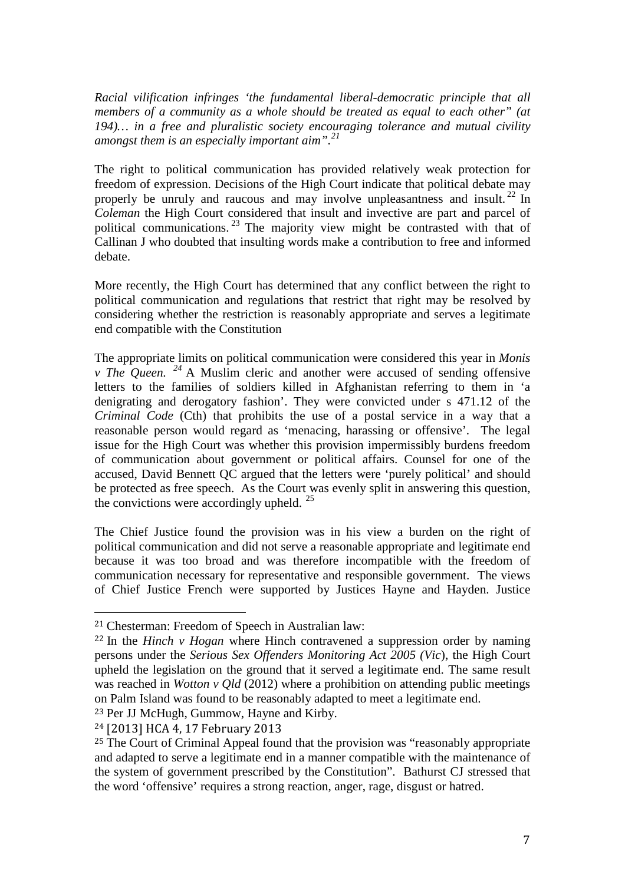*Racial vilification infringes 'the fundamental liberal-democratic principle that all members of a community as a whole should be treated as equal to each other" (at 194)… in a free and pluralistic society encouraging tolerance and mutual civility amongst them is an especially important aim".[21](#page-6-0)*

The right to political communication has provided relatively weak protection for freedom of expression. Decisions of the High Court indicate that political debate may properly be unruly and raucous and may involve unpleasantness and insult.<sup>[22](#page-6-1)</sup> In *Coleman* the High Court considered that insult and invective are part and parcel of political communications.<sup>[23](#page-6-2)</sup> The majority view might be contrasted with that of Callinan J who doubted that insulting words make a contribution to free and informed debate.

More recently, the High Court has determined that any conflict between the right to political communication and regulations that restrict that right may be resolved by considering whether the restriction is reasonably appropriate and serves a legitimate end compatible with the Constitution

The appropriate limits on political communication were considered this year in *Monis v* The Queen.<sup>[24](#page-6-3)</sup> A Muslim cleric and another were accused of sending offensive letters to the families of soldiers killed in Afghanistan referring to them in 'a denigrating and derogatory fashion'. They were convicted under s 471.12 of the *Criminal Code* (Cth) that prohibits the use of a postal service in a way that a reasonable person would regard as 'menacing, harassing or offensive'. The legal issue for the High Court was whether this provision impermissibly burdens freedom of communication about government or political affairs. Counsel for one of the accused, David Bennett QC argued that the letters were 'purely political' and should be protected as free speech. As the Court was evenly split in answering this question, the convictions were accordingly upheld.  $25$ 

The Chief Justice found the provision was in his view a burden on the right of political communication and did not serve a reasonable appropriate and legitimate end because it was too broad and was therefore incompatible with the freedom of communication necessary for representative and responsible government. The views of Chief Justice French were supported by Justices Hayne and Hayden. Justice

<span id="page-6-2"></span><sup>23</sup> Per JJ McHugh, Gummow, Hayne and Kirby.

<span id="page-6-3"></span><sup>24</sup> [2013] HCA 4, 17 February 2013

<span id="page-6-0"></span> <sup>21</sup> Chesterman: Freedom of Speech in Australian law:

<span id="page-6-1"></span><sup>22</sup> In the *Hinch v Hogan* where Hinch contravened a suppression order by naming persons under the *Serious Sex Offenders Monitoring Act 2005 (Vic*), the High Court upheld the legislation on the ground that it served a legitimate end. The same result was reached in *Wotton v Qld* (2012) where a prohibition on attending public meetings on Palm Island was found to be reasonably adapted to meet a legitimate end.

<span id="page-6-4"></span><sup>&</sup>lt;sup>25</sup> The Court of Criminal Appeal found that the provision was "reasonably appropriate" and adapted to serve a legitimate end in a manner compatible with the maintenance of the system of government prescribed by the Constitution". Bathurst CJ stressed that the word 'offensive' requires a strong reaction, anger, rage, disgust or hatred.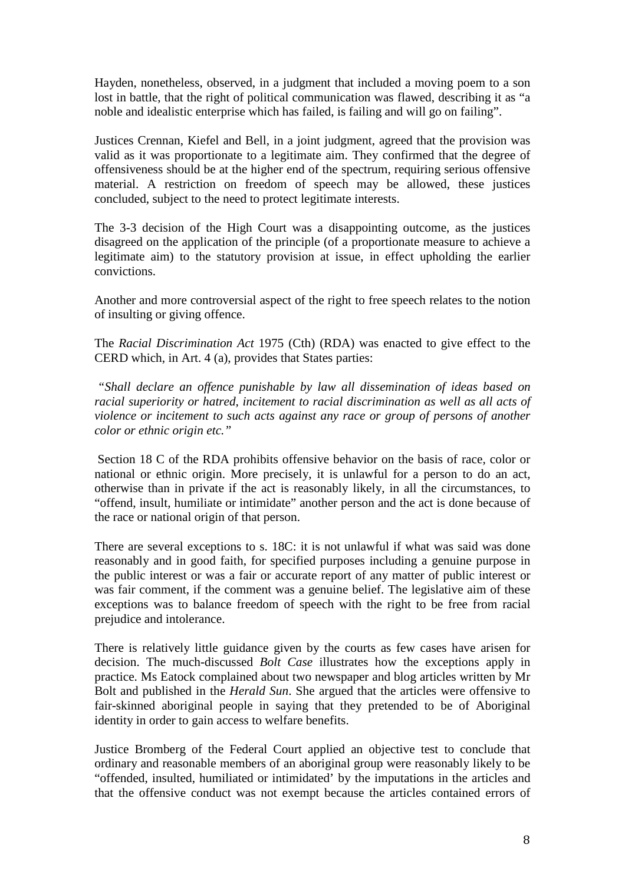Hayden, nonetheless, observed, in a judgment that included a moving poem to a son lost in battle, that the right of political communication was flawed, describing it as "a noble and idealistic enterprise which has failed, is failing and will go on failing".

Justices Crennan, Kiefel and Bell, in a joint judgment, agreed that the provision was valid as it was proportionate to a legitimate aim. They confirmed that the degree of offensiveness should be at the higher end of the spectrum, requiring serious offensive material. A restriction on freedom of speech may be allowed, these justices concluded, subject to the need to protect legitimate interests.

The 3-3 decision of the High Court was a disappointing outcome, as the justices disagreed on the application of the principle (of a proportionate measure to achieve a legitimate aim) to the statutory provision at issue, in effect upholding the earlier convictions.

Another and more controversial aspect of the right to free speech relates to the notion of insulting or giving offence.

The *Racial Discrimination Act* 1975 (Cth) (RDA) was enacted to give effect to the CERD which, in Art. 4 (a), provides that States parties:

*"Shall declare an offence punishable by law all dissemination of ideas based on racial superiority or hatred, incitement to racial discrimination as well as all acts of violence or incitement to such acts against any race or group of persons of another color or ethnic origin etc."*

Section 18 C of the RDA prohibits offensive behavior on the basis of race, color or national or ethnic origin. More precisely, it is unlawful for a person to do an act, otherwise than in private if the act is reasonably likely, in all the circumstances, to "offend, insult, humiliate or intimidate" another person and the act is done because of the race or national origin of that person.

There are several exceptions to s. 18C: it is not unlawful if what was said was done reasonably and in good faith, for specified purposes including a genuine purpose in the public interest or was a fair or accurate report of any matter of public interest or was fair comment, if the comment was a genuine belief. The legislative aim of these exceptions was to balance freedom of speech with the right to be free from racial prejudice and intolerance.

There is relatively little guidance given by the courts as few cases have arisen for decision. The much-discussed *Bolt Case* illustrates how the exceptions apply in practice. Ms Eatock complained about two newspaper and blog articles written by Mr Bolt and published in the *Herald Sun*. She argued that the articles were offensive to fair-skinned aboriginal people in saying that they pretended to be of Aboriginal identity in order to gain access to welfare benefits.

Justice Bromberg of the Federal Court applied an objective test to conclude that ordinary and reasonable members of an aboriginal group were reasonably likely to be "offended, insulted, humiliated or intimidated' by the imputations in the articles and that the offensive conduct was not exempt because the articles contained errors of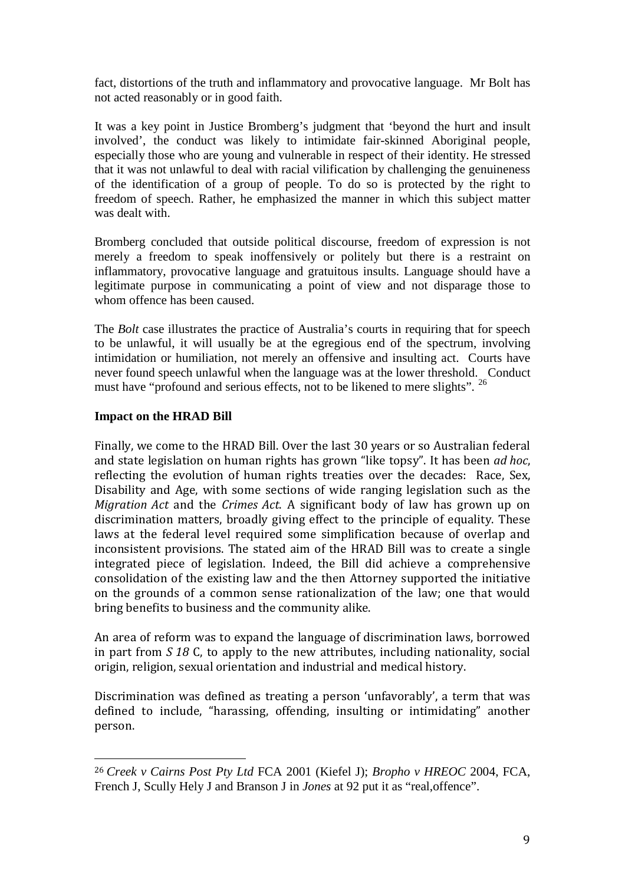fact, distortions of the truth and inflammatory and provocative language. Mr Bolt has not acted reasonably or in good faith.

It was a key point in Justice Bromberg's judgment that 'beyond the hurt and insult involved', the conduct was likely to intimidate fair-skinned Aboriginal people, especially those who are young and vulnerable in respect of their identity. He stressed that it was not unlawful to deal with racial vilification by challenging the genuineness of the identification of a group of people. To do so is protected by the right to freedom of speech. Rather, he emphasized the manner in which this subject matter was dealt with.

Bromberg concluded that outside political discourse, freedom of expression is not merely a freedom to speak inoffensively or politely but there is a restraint on inflammatory, provocative language and gratuitous insults. Language should have a legitimate purpose in communicating a point of view and not disparage those to whom offence has been caused.

The *Bolt* case illustrates the practice of Australia's courts in requiring that for speech to be unlawful, it will usually be at the egregious end of the spectrum, involving intimidation or humiliation, not merely an offensive and insulting act. Courts have never found speech unlawful when the language was at the lower threshold. Conduct must have "profound and serious effects, not to be likened to mere slights". <sup>[26](#page-8-0)</sup>

#### **Impact on the HRAD Bill**

Finally, we come to the HRAD Bill. Over the last 30 years or so Australian federal and state legislation on human rights has grown "like topsy". It has been *ad hoc*, reflecting the evolution of human rights treaties over the decades: Race, Sex, Disability and Age, with some sections of wide ranging legislation such as the *Migration Act* and the *Crimes Act*. A significant body of law has grown up on discrimination matters, broadly giving effect to the principle of equality. These laws at the federal level required some simplification because of overlap and inconsistent provisions. The stated aim of the HRAD Bill was to create a single integrated piece of legislation. Indeed, the Bill did achieve a comprehensive consolidation of the existing law and the then Attorney supported the initiative on the grounds of a common sense rationalization of the law; one that would bring benefits to business and the community alike.

An area of reform was to expand the language of discrimination laws, borrowed in part from *S 18* C, to apply to the new attributes, including nationality, social origin, religion, sexual orientation and industrial and medical history.

Discrimination was defined as treating a person 'unfavorably', a term that was defined to include, "harassing, offending, insulting or intimidating" another person.

<span id="page-8-0"></span> <sup>26</sup> *Creek v Cairns Post Pty Ltd* FCA 2001 (Kiefel J); *Bropho v HREOC* 2004, FCA, French J, Scully Hely J and Branson J in *Jones* at 92 put it as "real,offence".